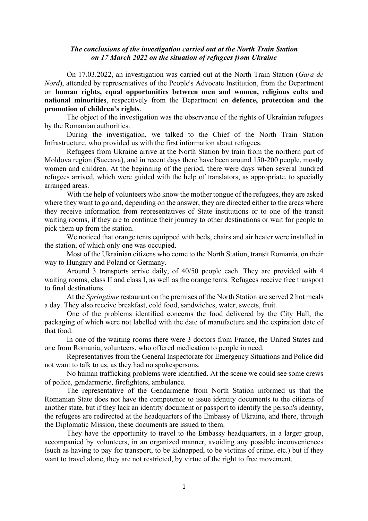## The conclusions of the investigation carried out at the North Train Station on 17 March 2022 on the situation of refugees from Ukraine

On 17.03.2022, an investigation was carried out at the North Train Station (Gara de Nord), attended by representatives of the People's Advocate Institution, from the Department on human rights, equal opportunities between men and women, religious cults and national minorities, respectively from the Department on defence, protection and the promotion of children's rights.

The object of the investigation was the observance of the rights of Ukrainian refugees by the Romanian authorities.

During the investigation, we talked to the Chief of the North Train Station Infrastructure, who provided us with the first information about refugees.

Refugees from Ukraine arrive at the North Station by train from the northern part of Moldova region (Suceava), and in recent days there have been around 150-200 people, mostly women and children. At the beginning of the period, there were days when several hundred refugees arrived, which were guided with the help of translators, as appropriate, to specially arranged areas.

With the help of volunteers who know the mother tongue of the refugees, they are asked where they want to go and, depending on the answer, they are directed either to the areas where they receive information from representatives of State institutions or to one of the transit waiting rooms, if they are to continue their journey to other destinations or wait for people to pick them up from the station.

We noticed that orange tents equipped with beds, chairs and air heater were installed in the station, of which only one was occupied.

Most of the Ukrainian citizens who come to the North Station, transit Romania, on their way to Hungary and Poland or Germany.

Around 3 transports arrive daily, of 40/50 people each. They are provided with 4 waiting rooms, class II and class I, as well as the orange tents. Refugees receive free transport to final destinations.

At the *Springtime* restaurant on the premises of the North Station are served 2 hot meals a day. They also receive breakfast, cold food, sandwiches, water, sweets, fruit.

One of the problems identified concerns the food delivered by the City Hall, the packaging of which were not labelled with the date of manufacture and the expiration date of that food.

In one of the waiting rooms there were 3 doctors from France, the United States and one from Romania, volunteers, who offered medication to people in need.

Representatives from the General Inspectorate for Emergency Situations and Police did not want to talk to us, as they had no spokespersons.

No human trafficking problems were identified. At the scene we could see some crews of police, gendarmerie, firefighters, ambulance.

The representative of the Gendarmerie from North Station informed us that the Romanian State does not have the competence to issue identity documents to the citizens of another state, but if they lack an identity document or passport to identify the person's identity, the refugees are redirected at the headquarters of the Embassy of Ukraine, and there, through the Diplomatic Mission, these documents are issued to them.

They have the opportunity to travel to the Embassy headquarters, in a larger group, accompanied by volunteers, in an organized manner, avoiding any possible inconveniences (such as having to pay for transport, to be kidnapped, to be victims of crime, etc.) but if they want to travel alone, they are not restricted, by virtue of the right to free movement.